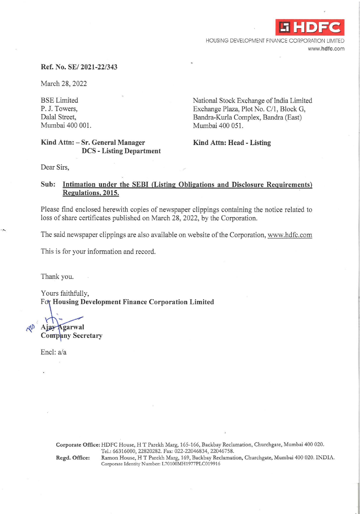

HOUSING DEVELOPMENT FINANCE CORPORATION LIMITED **www.hdfc.com** 

#### **Ref. No. SE/ 2021-22/343**

March 28, 2022

BSE Limited P. J. Towers, Dalal Street, Mumbai 400 001.

# National Stock Exchange of India Limited Exchange Plaza, Plot No. C/1, Block G, Bandra-Kurla Complex, Bandra (East) Mumbai 400 051.

### **Kind Attn: - Sr. General Manager DCS - Listing Department**

**Kind Attn: Head - Listing** 

Dear Sirs,

# **Sub: Intimation under the SEBI (Listing Obligations and Disclosure Requirements) Regulations, 2015.**

Please find enclosed herewith copies of newspaper clippings containing the notice related to loss of share certificates published on March 28, 2022, by the Corporation.

The said newspaper clippings are also available on website of the Corporation, www.hdfc.com

This is for your information and record.

Thank you.

Yours faithfully, For Housing Development Finance Corporation Limited

Ajay Agarwal

**Company Secretary** 

Encl: a/a

**Corporate Office:** HDFC House, HT Parekh Marg, 165-166, Backbay Reclamation, Churchgate, Mumbai 400 020. Tel.: 66316000, 22820282. Fax: 022-22046834, 22046758. **Regd. Office:** Ramon House, HT Parekh Marg, 169, Backbay Reclamation, Churchgate, Mumbai 400 020. INDIA. Corporate Identity Number: L70100MH1977PLC019916